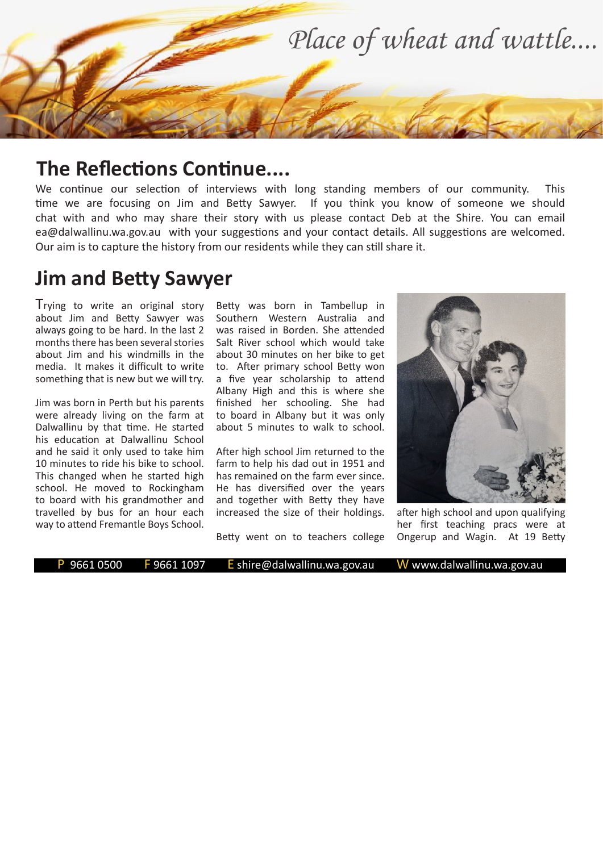

## **The Reflections Continue....**

We continue our selection of interviews with long standing members of our community. This time we are focusing on Jim and Betty Sawyer. If you think you know of someone we should chat with and who may share their story with us please contact Deb at the Shire. You can email ea@dalwallinu.wa.gov.au with your suggestions and your contact details. All suggestions are welcomed. Our aim is to capture the history from our residents while they can still share it.

## **Jim and Betty Sawyer**

Trying to write an original story about Jim and Betty Sawyer was always going to be hard. In the last 2 months there has been several stories about Jim and his windmills in the media. It makes it difficult to write something that is new but we will try.

Jim was born in Perth but his parents were already living on the farm at Dalwallinu by that time. He started his education at Dalwallinu School and he said it only used to take him 10 minutes to ride his bike to school. This changed when he started high school. He moved to Rockingham to board with his grandmother and travelled by bus for an hour each way to attend Fremantle Boys School.

Betty was born in Tambellup in Southern Western Australia and was raised in Borden. She attended Salt River school which would take about 30 minutes on her bike to get to. After primary school Betty won a five year scholarship to attend Albany High and this is where she finished her schooling. She had to board in Albany but it was only about 5 minutes to walk to school.

After high school Jim returned to the farm to help his dad out in 1951 and has remained on the farm ever since. He has diversified over the years and together with Betty they have increased the size of their holdings.

Betty went on to teachers college



after high school and upon qualifying her first teaching pracs were at Ongerup and Wagin. At 19 Betty

P 9661 0500 F 9661 1097 E shire@dalwallinu.wa.gov.au W www.dalwallinu.wa.gov.au